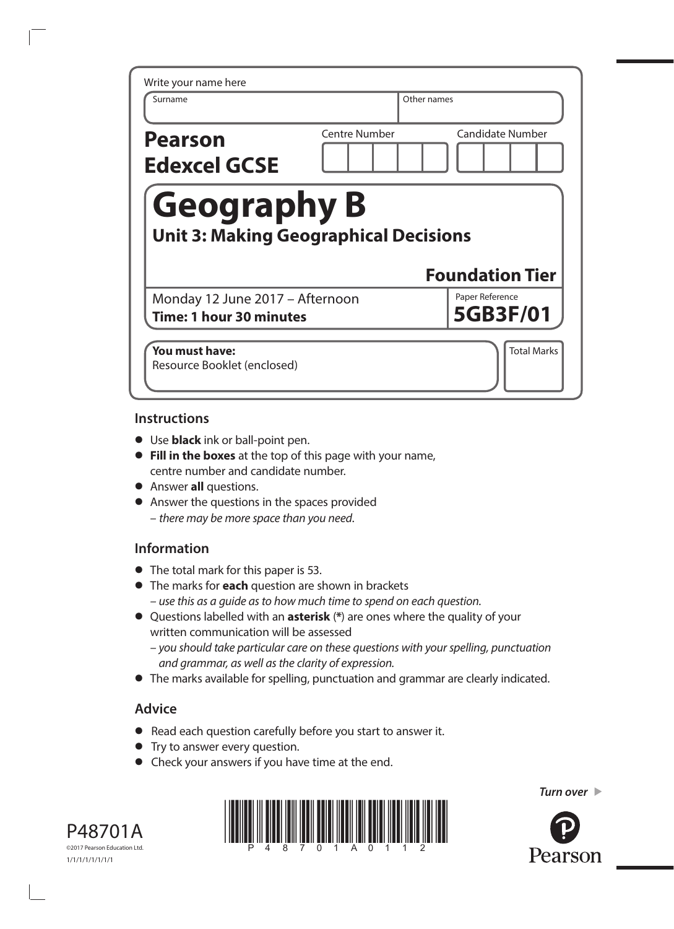| Write your name here                                               |                      |                             |
|--------------------------------------------------------------------|----------------------|-----------------------------|
| Surname                                                            |                      | Other names                 |
| <b>Pearson</b><br><b>Edexcel GCSE</b>                              | <b>Centre Number</b> | <b>Candidate Number</b>     |
|                                                                    |                      |                             |
|                                                                    |                      |                             |
| <b>Geography B</b><br><b>Unit 3: Making Geographical Decisions</b> |                      |                             |
|                                                                    |                      | <b>Foundation Tier</b>      |
| Monday 12 June 2017 - Afternoon<br><b>Time: 1 hour 30 minutes</b>  |                      | Paper Reference<br>5GB3F/01 |
| You must have:                                                     |                      | <b>Total Marks</b>          |

## **Instructions**

- **•** Use **black** ink or ball-point pen.
- **• Fill in the boxes** at the top of this page with your name, centre number and candidate number.
- **•** Answer **all** questions.
- **•** Answer the questions in the spaces provided – *there may be more space than you need*.

# **Information**

- **•** The total mark for this paper is 53.
- **•** The marks for **each** question are shown in brackets *– use this as a guide as to how much time to spend on each question.*
- **•** Questions labelled with an **asterisk** (**\***) are ones where the quality of your written communication will be assessed
	- *you should take particular care on these questions with your spelling, punctuation and grammar, as well as the clarity of expression.*
- **•** The marks available for spelling, punctuation and grammar are clearly indicated.

# **Advice**

- **•** Read each question carefully before you start to answer it.
- **•** Try to answer every question.
- **•** Check your answers if you have time at the end.







*Turn over Turn over*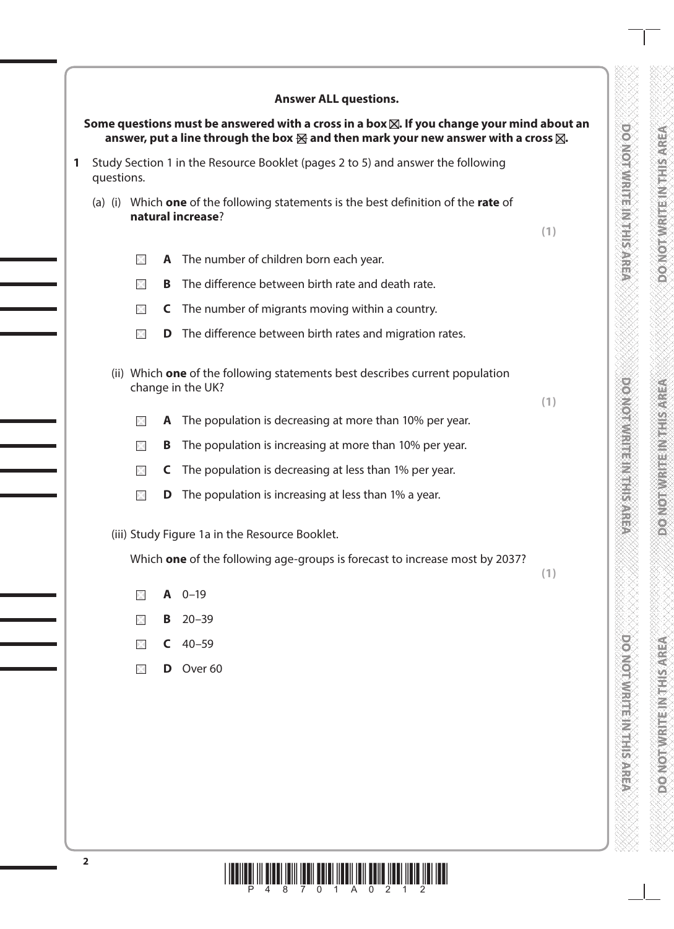#### **Answer ALL questions.**

#### Some questions must be answered with a cross in a box  $\boxtimes$ . If you change your mind about an answer, put a line through the box  $\boxtimes$  and then mark your new answer with a cross  $\boxtimes$ .

- **1** Study Section 1 in the Resource Booklet (pages 2 to 5) and answer the following questions.
	- (a) (i) Which **one** of the following statements is the best definition of the **rate** of **natural increase**?

**(1)**

**DONOLINE TENERE SERVICE** 

**DOMORATION** SATISFIES

**DO NOINWARE INSTRUSTION** 

- **A** The number of children born each year.  $\boxtimes$
- **B** The difference between birth rate and death rate.  $\sum$
- **C** The number of migrants moving within a country.  $\boxtimes$
- **D** The difference between birth rates and migration rates.  $\boxtimes$
- (ii) Which **one** of the following statements best describes current population change in the UK?

**(1)**

- **A** The population is decreasing at more than 10% per year.  $\times$
- $\sum_{i=1}^{n}$ **B** The population is increasing at more than 10% per year.
- $\mathbb{R}$ **C** The population is decreasing at less than 1% per year.
- $\mathbb{R}$ **D** The population is increasing at less than 1% a year.
- (iii) Study Figure 1a in the Resource Booklet.

Which **one** of the following age-groups is forecast to increase most by 2037?

**(1)**

- **A** 0–19  $\mathbb{R}$
- $\mathbb{R}$ **B** 20–39
- $\times$  $C$  40–59
- **D** Over 60 $\boxtimes$

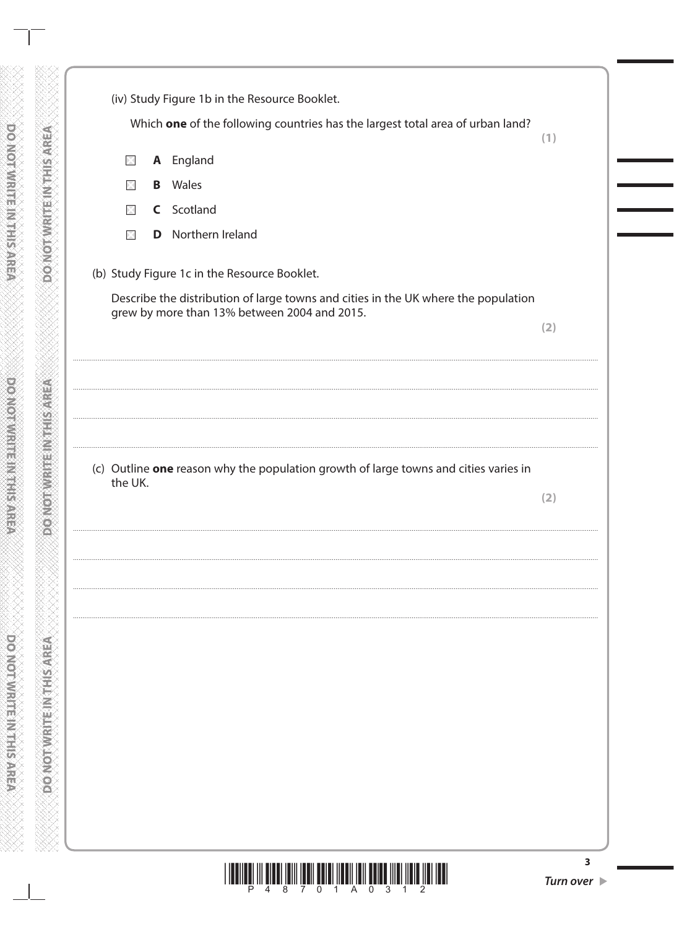| (iv) Study Figure 1b in the Resource Booklet. |              |   |                                                                                      |     |
|-----------------------------------------------|--------------|---|--------------------------------------------------------------------------------------|-----|
|                                               |              |   | Which one of the following countries has the largest total area of urban land?       | (1) |
|                                               | $\mathbb{X}$ |   | A England                                                                            |     |
|                                               | X            | B | Wales                                                                                |     |
|                                               | $\times$     |   | <b>C</b> Scotland                                                                    |     |
|                                               | $\times$     |   | <b>D</b> Northern Ireland                                                            |     |
|                                               |              |   | (b) Study Figure 1c in the Resource Booklet.                                         |     |
|                                               |              |   | Describe the distribution of large towns and cities in the UK where the population   |     |
|                                               |              |   | grew by more than 13% between 2004 and 2015.                                         | (2) |
|                                               |              |   |                                                                                      |     |
|                                               |              |   |                                                                                      |     |
|                                               |              |   |                                                                                      |     |
|                                               |              |   |                                                                                      |     |
|                                               |              |   |                                                                                      |     |
|                                               |              |   |                                                                                      |     |
|                                               |              |   | (c) Outline one reason why the population growth of large towns and cities varies in |     |
|                                               | the UK.      |   |                                                                                      | (2) |
|                                               |              |   |                                                                                      |     |
|                                               |              |   |                                                                                      |     |
|                                               |              |   |                                                                                      |     |
|                                               |              |   |                                                                                      |     |
|                                               |              |   |                                                                                      |     |
|                                               |              |   |                                                                                      |     |
|                                               |              |   |                                                                                      |     |
|                                               |              |   |                                                                                      |     |
|                                               |              |   |                                                                                      |     |
|                                               |              |   |                                                                                      |     |
|                                               |              |   |                                                                                      |     |

DOMOT WRITE NITHS AREA

**DOMOTIVILITE INTHIS AFEA** 

**DO NOT WRITE IN THIS AREA** 



 $\overline{\mathbf{3}}$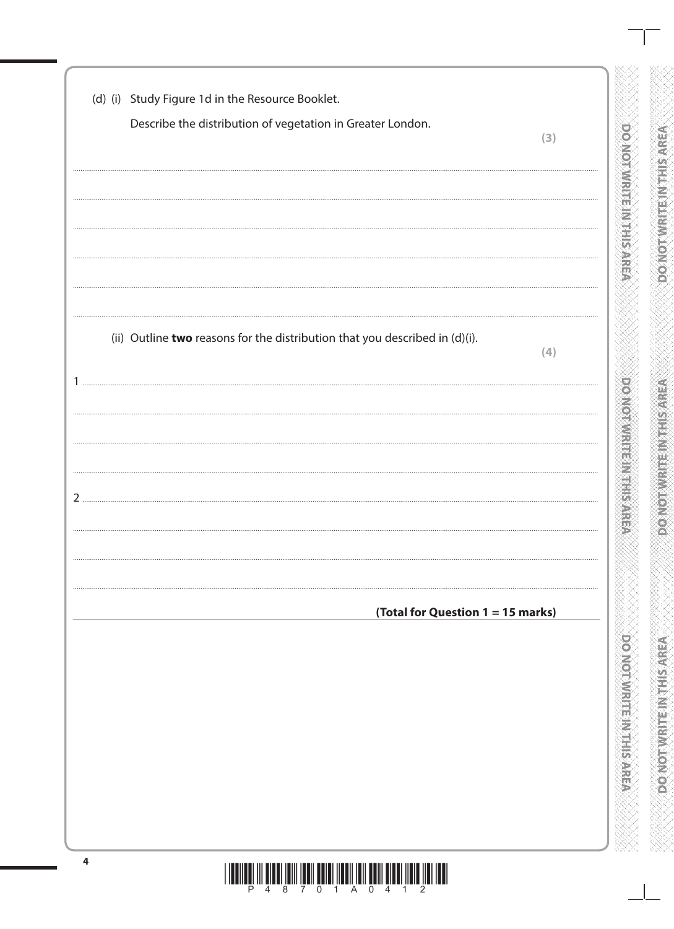| Describe the distribution of vegetation in Greater London.                  |     |
|-----------------------------------------------------------------------------|-----|
|                                                                             | (3) |
|                                                                             |     |
|                                                                             |     |
|                                                                             |     |
|                                                                             |     |
|                                                                             |     |
|                                                                             |     |
| (ii) Outline two reasons for the distribution that you described in (d)(i). |     |
|                                                                             | (4) |
|                                                                             |     |
|                                                                             |     |
|                                                                             |     |
|                                                                             |     |
|                                                                             |     |
|                                                                             |     |
|                                                                             |     |
|                                                                             |     |
| (Total for Question 1 = 15 marks)                                           |     |
|                                                                             |     |
|                                                                             |     |
|                                                                             |     |
|                                                                             |     |
|                                                                             |     |
|                                                                             |     |
|                                                                             |     |
|                                                                             |     |
|                                                                             |     |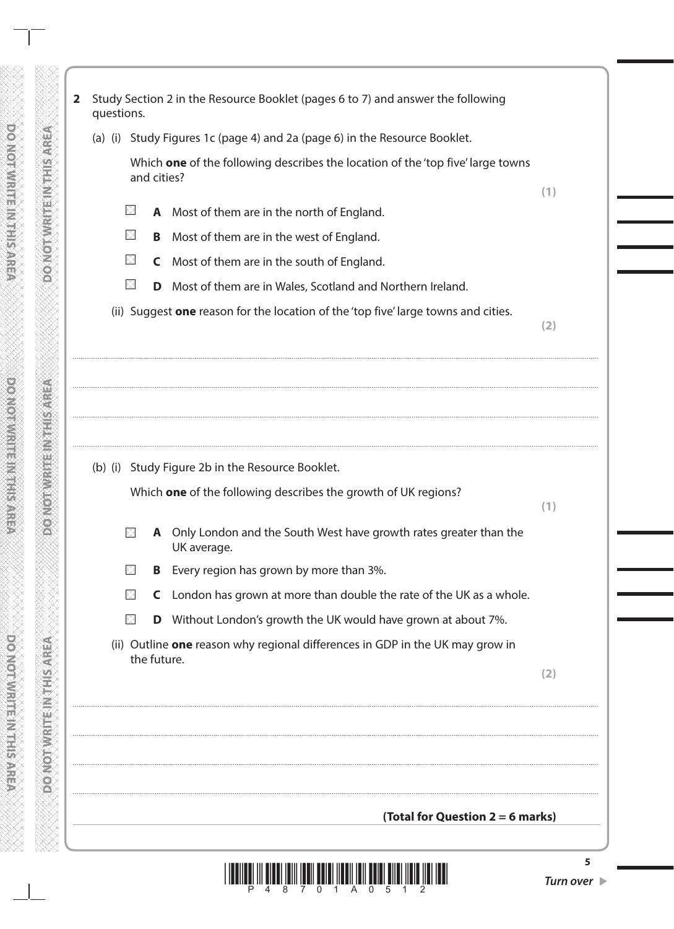| $\overline{\mathbf{2}}$ | questions.                                   |                            | Study Section 2 in the Resource Booklet (pages 6 to 7) and answer the following                                                                                                                                                                                                         |            |
|-------------------------|----------------------------------------------|----------------------------|-----------------------------------------------------------------------------------------------------------------------------------------------------------------------------------------------------------------------------------------------------------------------------------------|------------|
|                         |                                              |                            | (a) (i) Study Figures 1c (page 4) and 2a (page 6) in the Resource Booklet.<br>Which one of the following describes the location of the 'top five' large towns                                                                                                                           |            |
|                         | $\times$<br>$\times$<br>$\times$<br>$\times$ | and cities?<br>Β<br>C<br>D | A Most of them are in the north of England.<br>Most of them are in the west of England.<br>Most of them are in the south of England.<br>Most of them are in Wales, Scotland and Northern Ireland.<br>(ii) Suggest one reason for the location of the 'top five' large towns and cities. | (1)<br>(2) |
|                         |                                              |                            | (b) (i) Study Figure 2b in the Resource Booklet.<br>Which one of the following describes the growth of UK regions?<br>A Only London and the South West have growth rates greater than the                                                                                               | (1)        |
|                         |                                              | Β                          | UK average.<br>Every region has grown by more than 3%.                                                                                                                                                                                                                                  |            |
|                         |                                              | $\mathsf{C}$               | London has grown at more than double the rate of the UK as a whole.                                                                                                                                                                                                                     |            |
|                         |                                              | D                          | Without London's growth the UK would have grown at about 7%.                                                                                                                                                                                                                            |            |
|                         |                                              | the future.                | (ii) Outline one reason why regional differences in GDP in the UK may grow in                                                                                                                                                                                                           | (2)        |
|                         |                                              |                            | (Total for Question 2 = 6 marks)                                                                                                                                                                                                                                                        |            |
|                         |                                              |                            |                                                                                                                                                                                                                                                                                         |            |

**DO NOT WRITE IN THIS AREA** 

**DOMOTWERE INTHIS AREA** 

DO NOT WRITE IN THIS AREA

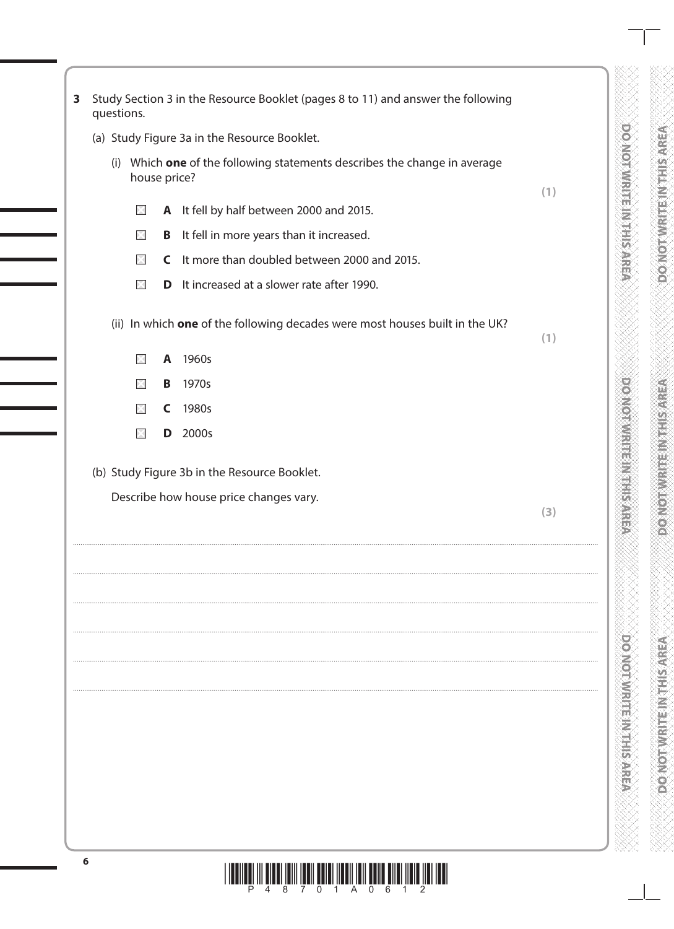|             |              | (a) Study Figure 3a in the Resource Booklet.                                 |     |
|-------------|--------------|------------------------------------------------------------------------------|-----|
| (i)         | house price? | Which one of the following statements describes the change in average        |     |
| $\boxtimes$ |              | A It fell by half between 2000 and 2015.                                     | (1) |
| $\boxtimes$ | B            | It fell in more years than it increased.                                     |     |
| $\times$    | C            | It more than doubled between 2000 and 2015.                                  |     |
| $\times$    | D            | It increased at a slower rate after 1990.                                    |     |
|             |              |                                                                              |     |
|             |              | (ii) In which one of the following decades were most houses built in the UK? | (1) |
| $\times$    | A            | 1960s                                                                        |     |
| $\times$    | B            | 1970s                                                                        |     |
| X           | C            | 1980s                                                                        |     |
| $\times$    | D            | 2000s                                                                        |     |
|             |              | (b) Study Figure 3b in the Resource Booklet.                                 |     |
|             |              |                                                                              |     |
|             |              | Describe how house price changes vary.                                       | (3) |
|             |              |                                                                              |     |
|             |              |                                                                              |     |
|             |              |                                                                              |     |
|             |              |                                                                              |     |
|             |              |                                                                              |     |
|             |              |                                                                              |     |
|             |              |                                                                              |     |
|             |              |                                                                              |     |
|             |              |                                                                              |     |
|             |              |                                                                              |     |
|             |              |                                                                              |     |

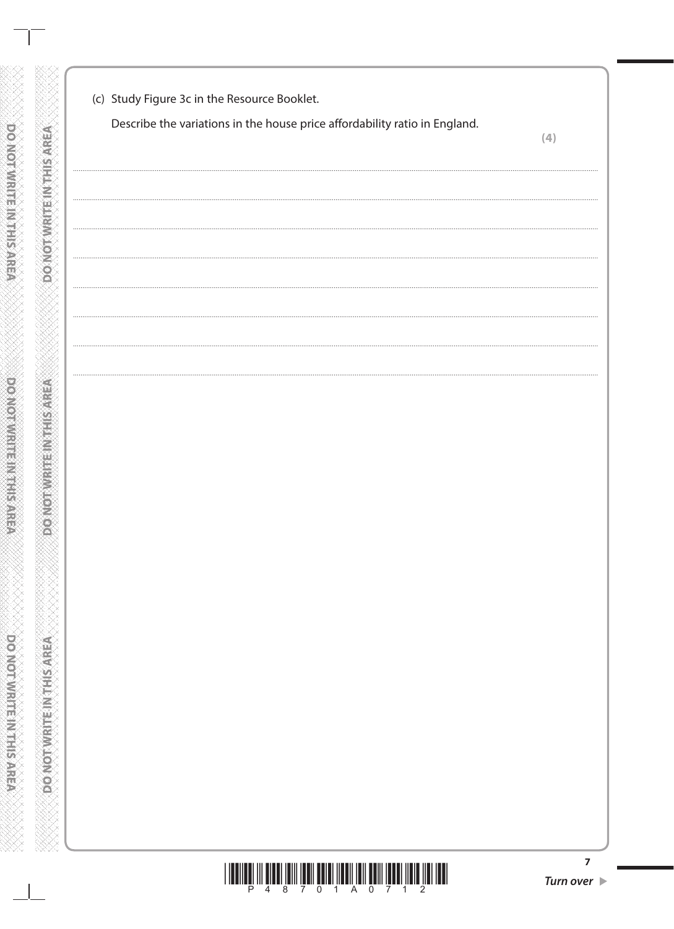| Describe the variations in the house price affordability ratio in England. |  |     |
|----------------------------------------------------------------------------|--|-----|
|                                                                            |  | (4) |
|                                                                            |  |     |
|                                                                            |  |     |
|                                                                            |  |     |
|                                                                            |  |     |
|                                                                            |  |     |
|                                                                            |  |     |
|                                                                            |  |     |
|                                                                            |  |     |
|                                                                            |  |     |
|                                                                            |  |     |
|                                                                            |  |     |
|                                                                            |  |     |
|                                                                            |  |     |
|                                                                            |  |     |
|                                                                            |  |     |
|                                                                            |  |     |
|                                                                            |  |     |
|                                                                            |  |     |
|                                                                            |  |     |
|                                                                            |  |     |
|                                                                            |  |     |
|                                                                            |  |     |
|                                                                            |  |     |
|                                                                            |  |     |
|                                                                            |  |     |
|                                                                            |  |     |
|                                                                            |  |     |

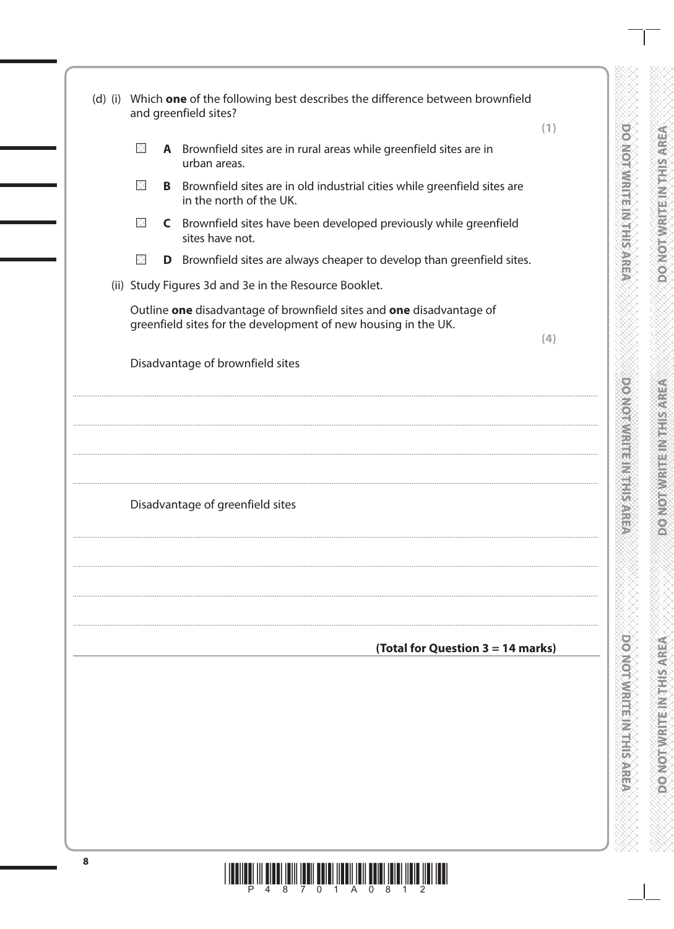|          | and greenfield sites?                                                                                                                  | (1) |
|----------|----------------------------------------------------------------------------------------------------------------------------------------|-----|
| $\times$ | A Brownfield sites are in rural areas while greenfield sites are in<br>urban areas.                                                    |     |
| $\times$ | <b>B</b> Brownfield sites are in old industrial cities while greenfield sites are<br>in the north of the UK.                           |     |
| $\times$ | C Brownfield sites have been developed previously while greenfield<br>sites have not.                                                  |     |
| $\times$ | <b>D</b> Brownfield sites are always cheaper to develop than greenfield sites.                                                         |     |
|          | (ii) Study Figures 3d and 3e in the Resource Booklet.                                                                                  |     |
|          | Outline one disadvantage of brownfield sites and one disadvantage of<br>greenfield sites for the development of new housing in the UK. | (4) |
|          | Disadvantage of brownfield sites                                                                                                       |     |
|          |                                                                                                                                        |     |
|          |                                                                                                                                        |     |
|          |                                                                                                                                        |     |
|          |                                                                                                                                        |     |
|          |                                                                                                                                        |     |
|          | Disadvantage of greenfield sites                                                                                                       |     |
|          |                                                                                                                                        |     |
|          |                                                                                                                                        |     |
|          |                                                                                                                                        |     |
|          |                                                                                                                                        |     |
|          |                                                                                                                                        |     |
|          | (Total for Question 3 = 14 marks)                                                                                                      |     |
|          |                                                                                                                                        |     |
|          |                                                                                                                                        |     |
|          |                                                                                                                                        |     |
|          |                                                                                                                                        |     |
|          |                                                                                                                                        |     |
|          |                                                                                                                                        |     |
|          |                                                                                                                                        |     |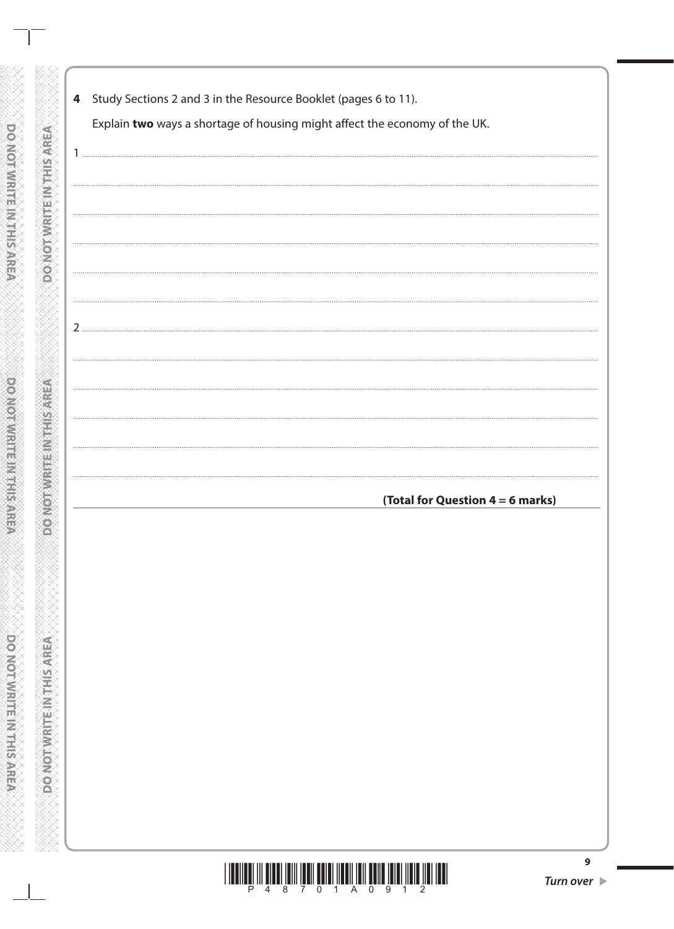|   | Explain two ways a shortage of housing might affect the economy of the UK. |  |
|---|----------------------------------------------------------------------------|--|
| 1 |                                                                            |  |
|   |                                                                            |  |
|   |                                                                            |  |
|   |                                                                            |  |
|   |                                                                            |  |
|   |                                                                            |  |
|   |                                                                            |  |
|   |                                                                            |  |
|   |                                                                            |  |
|   |                                                                            |  |
|   |                                                                            |  |
|   |                                                                            |  |
|   |                                                                            |  |
|   |                                                                            |  |
|   |                                                                            |  |
|   | (Total for Question 4 = 6 marks)                                           |  |
|   |                                                                            |  |
|   |                                                                            |  |
|   |                                                                            |  |
|   |                                                                            |  |
|   |                                                                            |  |
|   |                                                                            |  |
|   |                                                                            |  |
|   |                                                                            |  |
|   |                                                                            |  |
|   |                                                                            |  |
|   |                                                                            |  |
|   |                                                                            |  |
|   |                                                                            |  |
|   |                                                                            |  |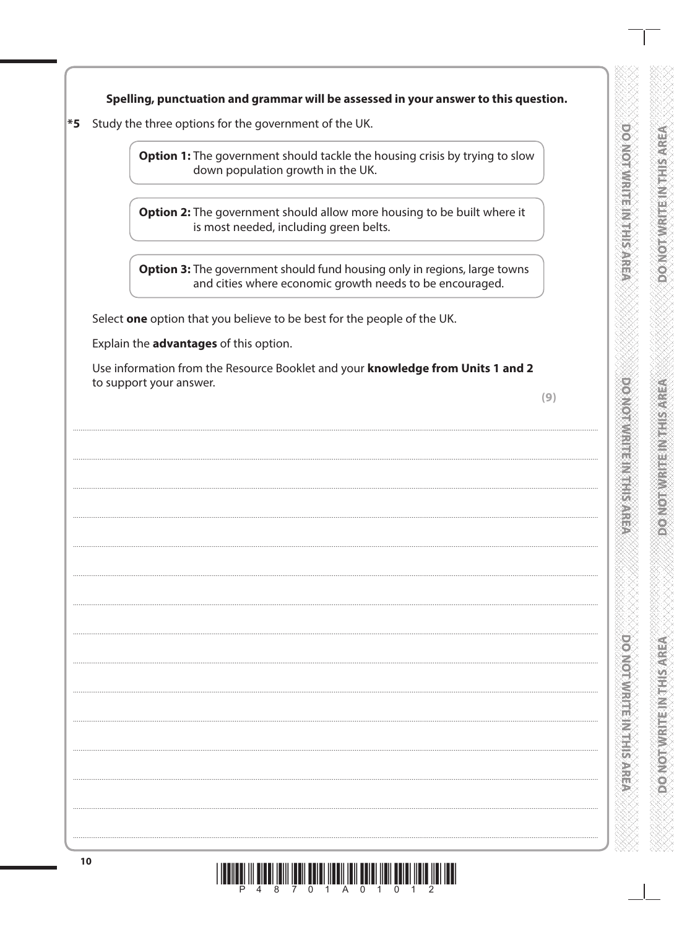#### Spelling, punctuation and grammar will be assessed in your answer to this question.

Study the three options for the government of the UK.  $*5$ 

> **Option 1:** The government should tackle the housing crisis by trying to slow down population growth in the UK.

**Option 2:** The government should allow more housing to be built where it is most needed, including green belts.

**Option 3:** The government should fund housing only in regions, large towns and cities where economic growth needs to be encouraged.

Select one option that you believe to be best for the people of the UK.

Explain the advantages of this option.

Use information from the Resource Booklet and your knowledge from Units 1 and 2 to support your answer.

**DOMORATION FIRST STREET** 

**POSTER IN EXECUTIVE CALCULATION** 

DO NOLUMENTE INSTRUMENT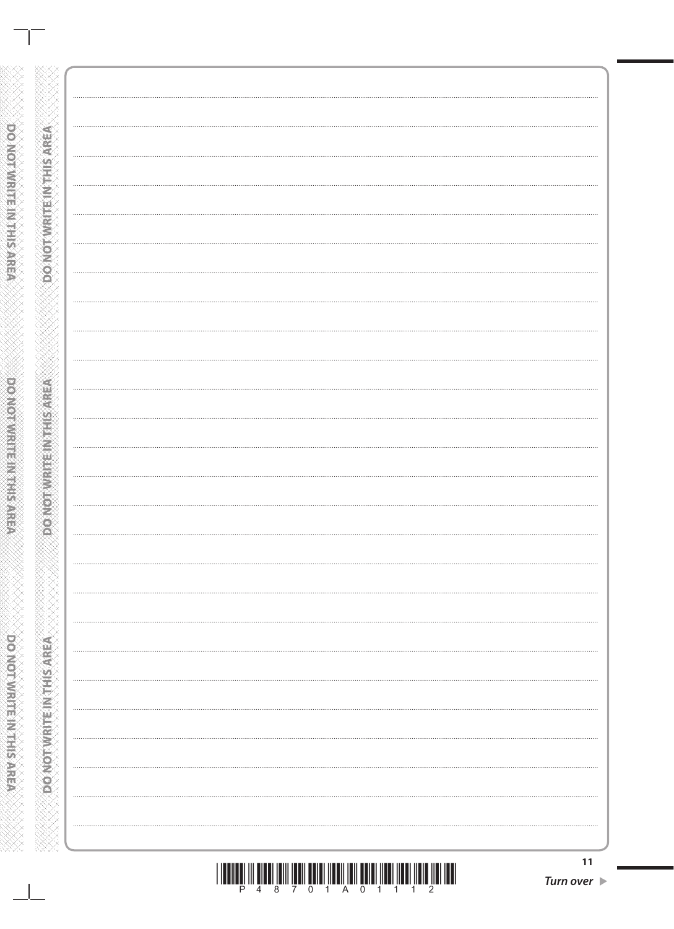| <b>CENTRAL PROGRAMMEDITO</b>    |    |
|---------------------------------|----|
|                                 |    |
|                                 |    |
|                                 |    |
|                                 |    |
|                                 |    |
|                                 |    |
|                                 |    |
|                                 |    |
|                                 |    |
|                                 |    |
|                                 |    |
|                                 |    |
|                                 |    |
|                                 |    |
| <b>DOMESTIC REPORTS</b>         |    |
|                                 |    |
|                                 |    |
|                                 |    |
|                                 |    |
|                                 |    |
|                                 |    |
|                                 |    |
|                                 |    |
|                                 |    |
|                                 |    |
|                                 |    |
|                                 |    |
|                                 |    |
|                                 |    |
|                                 |    |
|                                 |    |
|                                 |    |
| <b>DO NOT WRITEIN THIS AREA</b> |    |
|                                 |    |
|                                 |    |
|                                 | .  |
|                                 |    |
|                                 |    |
|                                 |    |
|                                 | 11 |

00000000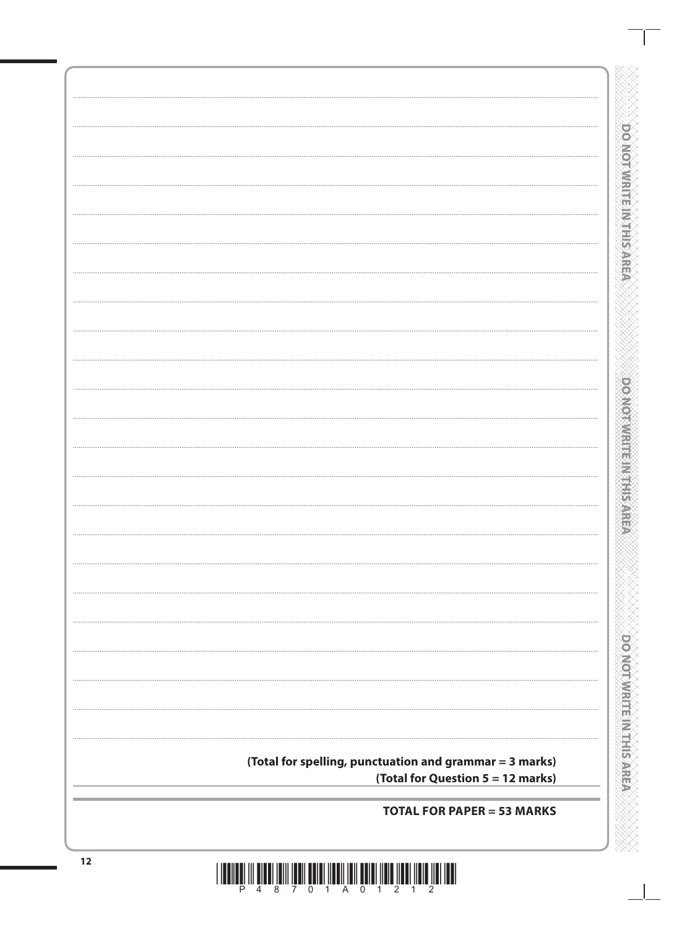| ļ                                                     |
|-------------------------------------------------------|
| Ì                                                     |
|                                                       |
|                                                       |
| ١                                                     |
|                                                       |
|                                                       |
|                                                       |
|                                                       |
|                                                       |
|                                                       |
|                                                       |
|                                                       |
|                                                       |
|                                                       |
|                                                       |
| Ì                                                     |
|                                                       |
| ij<br>J                                               |
|                                                       |
|                                                       |
|                                                       |
|                                                       |
|                                                       |
|                                                       |
|                                                       |
|                                                       |
|                                                       |
|                                                       |
|                                                       |
|                                                       |
|                                                       |
|                                                       |
|                                                       |
|                                                       |
|                                                       |
|                                                       |
|                                                       |
| I                                                     |
|                                                       |
|                                                       |
|                                                       |
| i                                                     |
|                                                       |
| i                                                     |
|                                                       |
| ċ                                                     |
|                                                       |
|                                                       |
|                                                       |
|                                                       |
|                                                       |
|                                                       |
|                                                       |
|                                                       |
| à<br>á                                                |
|                                                       |
|                                                       |
|                                                       |
|                                                       |
|                                                       |
|                                                       |
|                                                       |
| $\ddot{\phantom{a}}$                                  |
| į                                                     |
| 计微分 计微分数 计微分数                                         |
| י<br>י<br>í                                           |
| j                                                     |
| ֖֖֧֖֧֧֦֧֦֧֚֚֚֚֚֚֚֚֚֚֚֚֚֚֚֚֚֚֚֚֬֝֝֝֝֝֝֝֝֟֓֝֟֓֞֡֝֬<br>j |
|                                                       |
| j<br>ś                                                |
|                                                       |
|                                                       |
| ś                                                     |
| ļ<br>ç                                                |
|                                                       |
| í                                                     |
|                                                       |
|                                                       |
|                                                       |
| l<br>i                                                |
|                                                       |
|                                                       |
|                                                       |
|                                                       |
| ۱                                                     |
|                                                       |
|                                                       |
| à                                                     |
| Ĭ<br>i                                                |
|                                                       |
|                                                       |
|                                                       |
|                                                       |
| i<br>j                                                |
| í                                                     |
|                                                       |

(Total for spelling, punctuation and grammar = 3 marks) (Total for Question 5 = 12 marks)

**TOTAL FOR PAPER = 53 MARKS** 

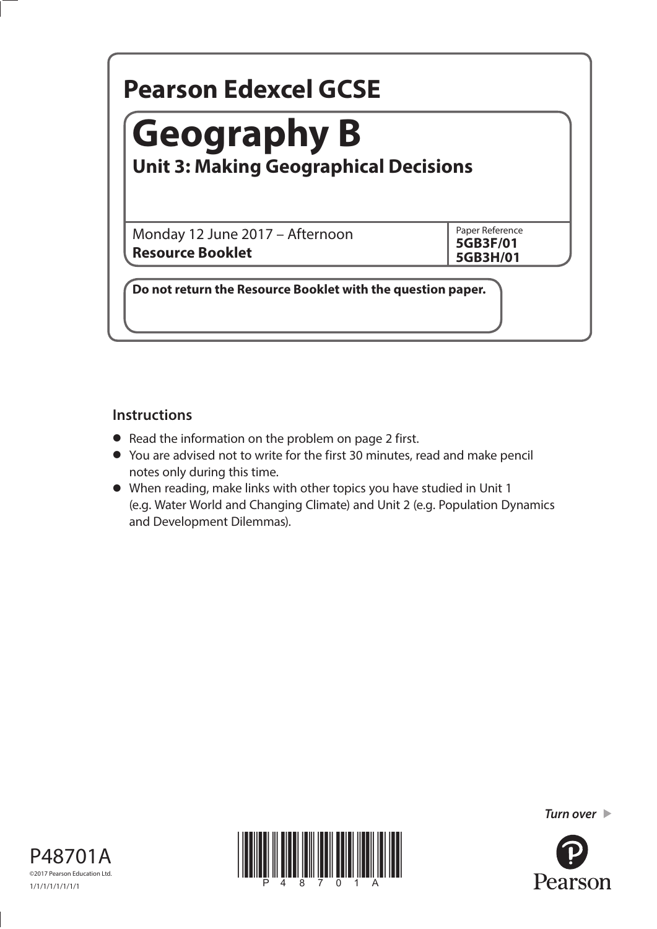# Paper Reference **Pearson Edexcel GCSE Do not return the Resource Booklet with the question paper. 5GB3F/01 5GB3H/01** Monday 12 June 2017 – Afternoon **Resource Booklet Geography B Unit 3: Making Geographical Decisions**

## **Instructions**

- **•** Read the information on the problem on page 2 first.
- **•** You are advised not to write for the first 30 minutes, read and make pencil notes only during this time.
- **•** When reading, make links with other topics you have studied in Unit 1 (e.g. Water World and Changing Climate) and Unit 2 (e.g. Population Dynamics and Development Dilemmas).





©2017 Pearson Education Ltd. 1/1/1/1/1/1/1/1

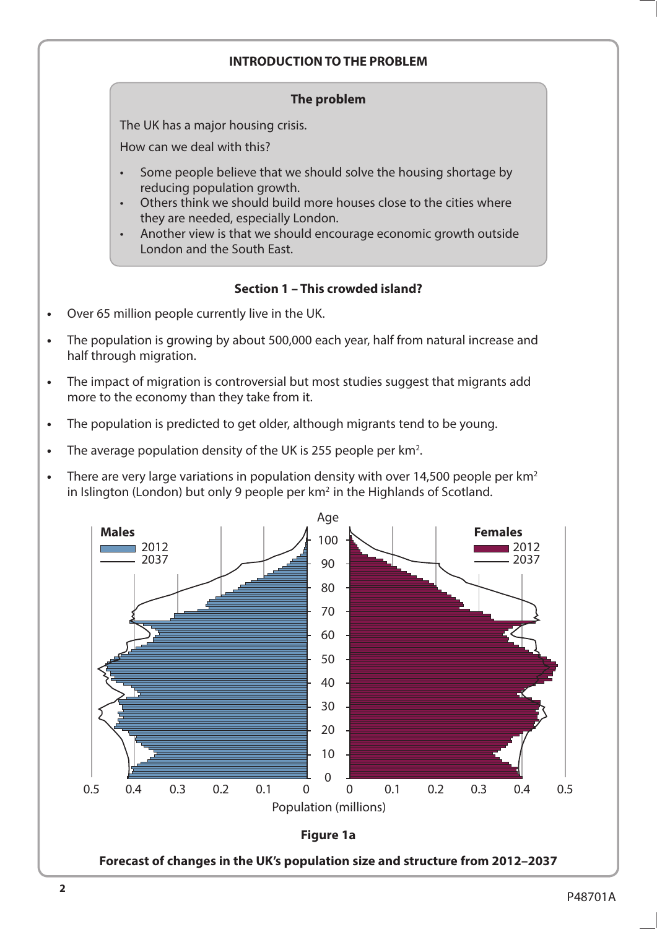## **INTRODUCTION TO THE PROBLEM**

#### **The problem**

The UK has a major housing crisis.

How can we deal with this?

- Some people believe that we should solve the housing shortage by reducing population growth.
- Others think we should build more houses close to the cities where they are needed, especially London.
- Another view is that we should encourage economic growth outside London and the South East.

#### **Section 1 – This crowded island?**

- **•** Over 65 million people currently live in the UK.
- **•** The population is growing by about 500,000 each year, half from natural increase and half through migration.
- **•** The impact of migration is controversial but most studies suggest that migrants add more to the economy than they take from it.
- **•** The population is predicted to get older, although migrants tend to be young.
- The average population density of the UK is 255 people per km<sup>2</sup>.
- There are very large variations in population density with over 14,500 people per km<sup>2</sup> in Islington (London) but only 9 people per km<sup>2</sup> in the Highlands of Scotland.

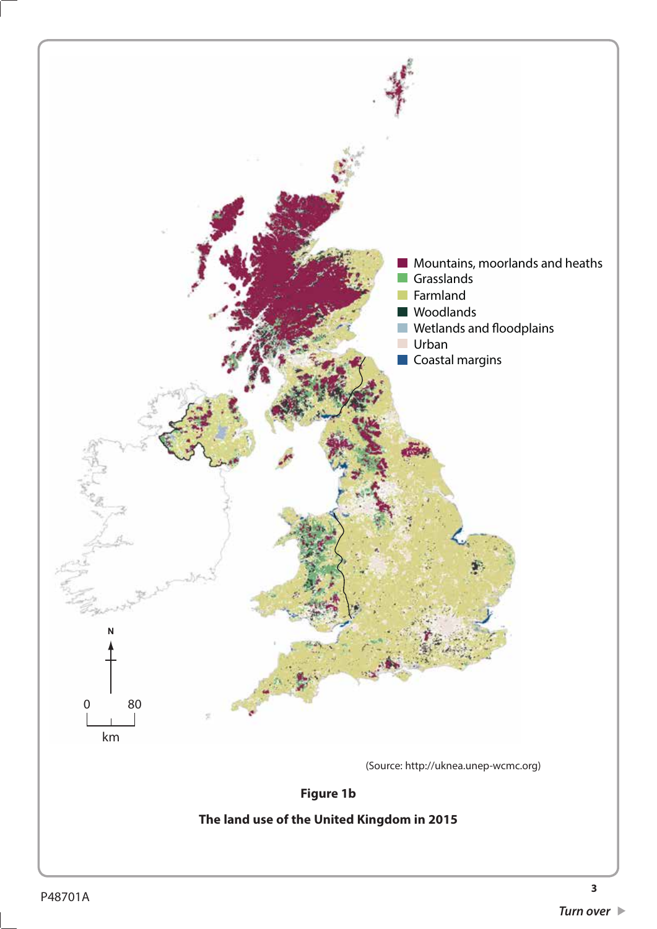

**Figure 1bThe land use of the United Kingdom in 2015** Marg, oodplain , plai rgins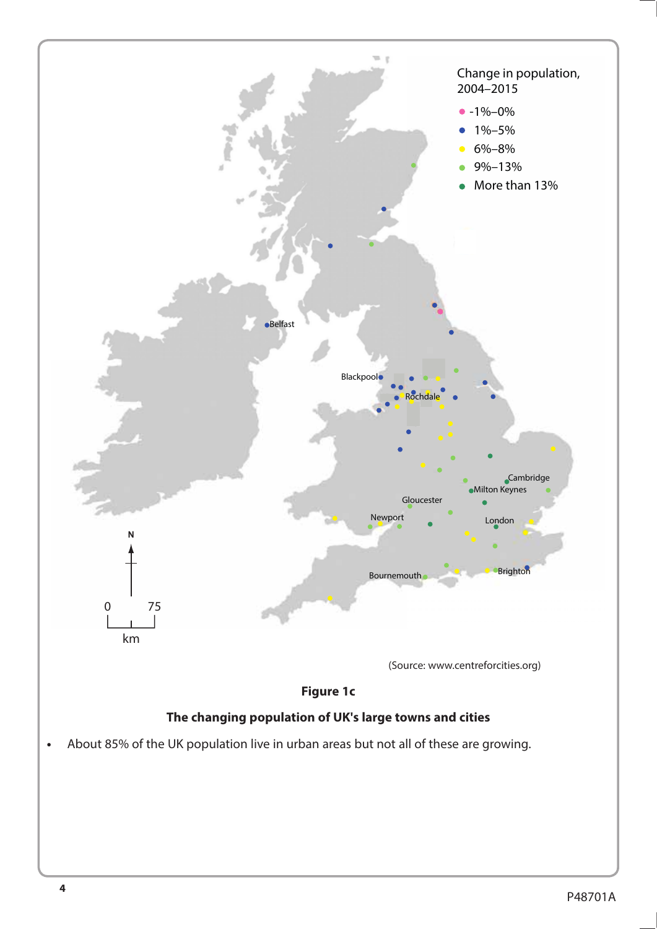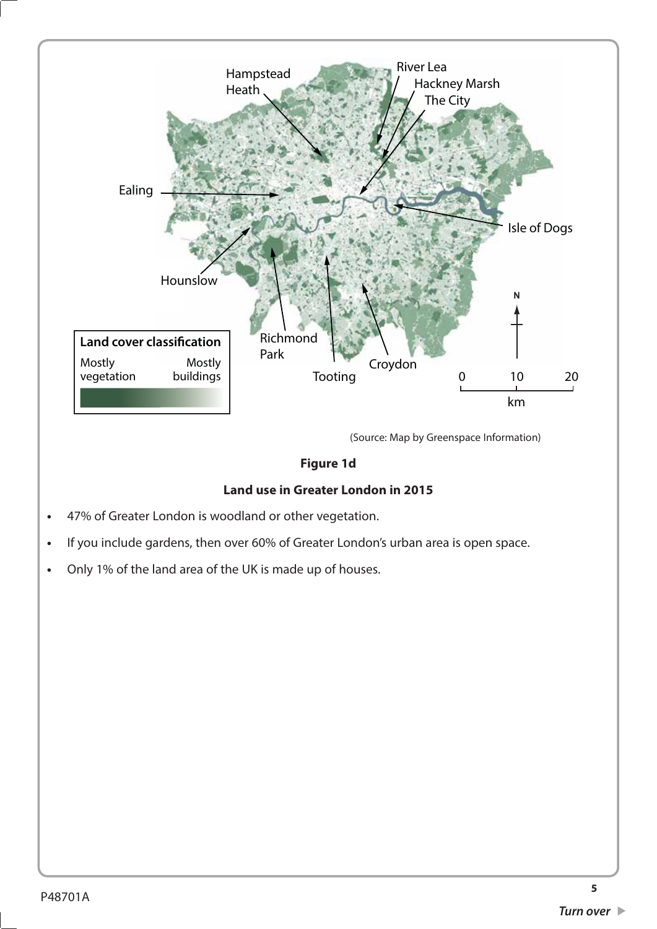

## **Figure 1d**

# **Land use in Greater London in 2015**

- **•** 47% of Greater London is woodland or other vegetation.
- **•** If you include gardens, then over 60% of Greater London's urban area is open space.
- **•** Only 1% of the land area of the UK is made up of houses.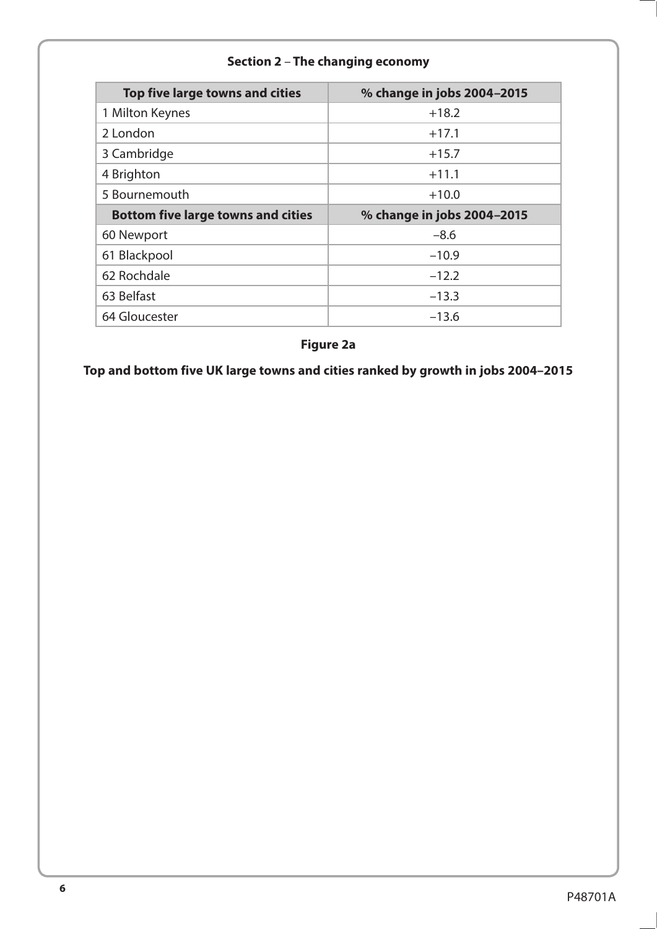| Top five large towns and cities           | % change in jobs 2004-2015 |  |  |
|-------------------------------------------|----------------------------|--|--|
| 1 Milton Keynes                           | $+18.2$                    |  |  |
| 2 London                                  | $+17.1$                    |  |  |
| 3 Cambridge                               | $+15.7$                    |  |  |
| 4 Brighton                                | $+11.1$                    |  |  |
| 5 Bournemouth                             | $+10.0$                    |  |  |
| <b>Bottom five large towns and cities</b> | % change in jobs 2004-2015 |  |  |
| 60 Newport                                | $-8.6$                     |  |  |
| 61 Blackpool                              | $-10.9$                    |  |  |
| 62 Rochdale                               | $-12.2$                    |  |  |
| 63 Belfast                                | $-13.3$                    |  |  |
| 64 Gloucester                             | $-13.6$                    |  |  |

# **Section 2** – **The changing economy**

**Figure 2a**

**Top and bottom five UK large towns and cities ranked by growth in jobs 2004–2015**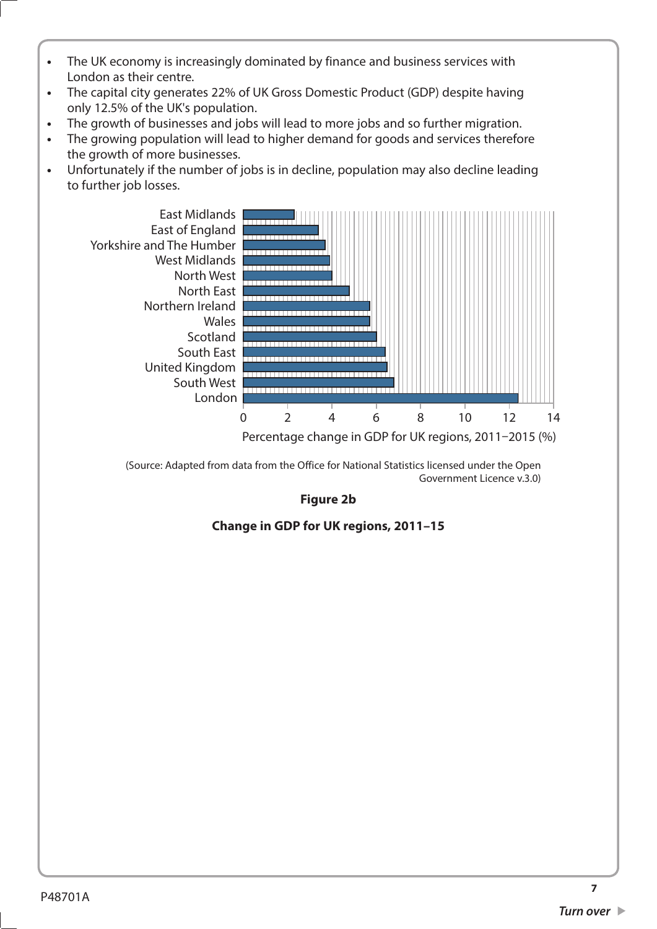- **•** The UK economy is increasingly dominated by finance and business services with London as their centre.
- **•** The capital city generates 22% of UK Gross Domestic Product (GDP) despite having only 12.5% of the UK's population.
- **•** The growth of businesses and jobs will lead to more jobs and so further migration.
- **•** The growing population will lead to higher demand for goods and services therefore the growth of more businesses.
- **•** Unfortunately if the number of jobs is in decline, population may also decline leading to further job losses.



(Source: Adapted from data from the Office for National Statistics licensed under the Open Government Licence v.3.0)

#### **Figure 2b**

### **Change in GDP for UK regions, 2011–15**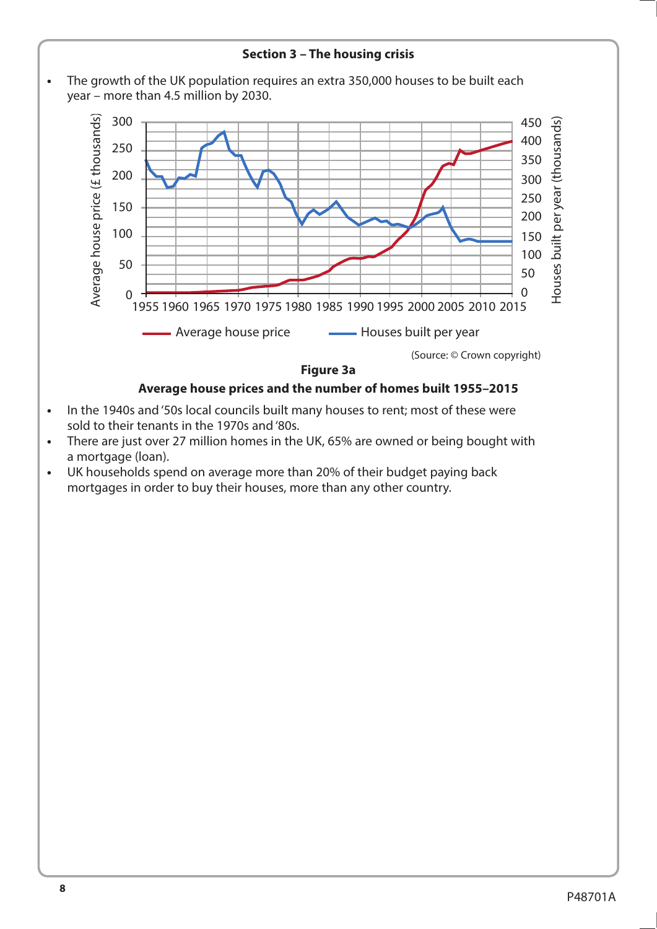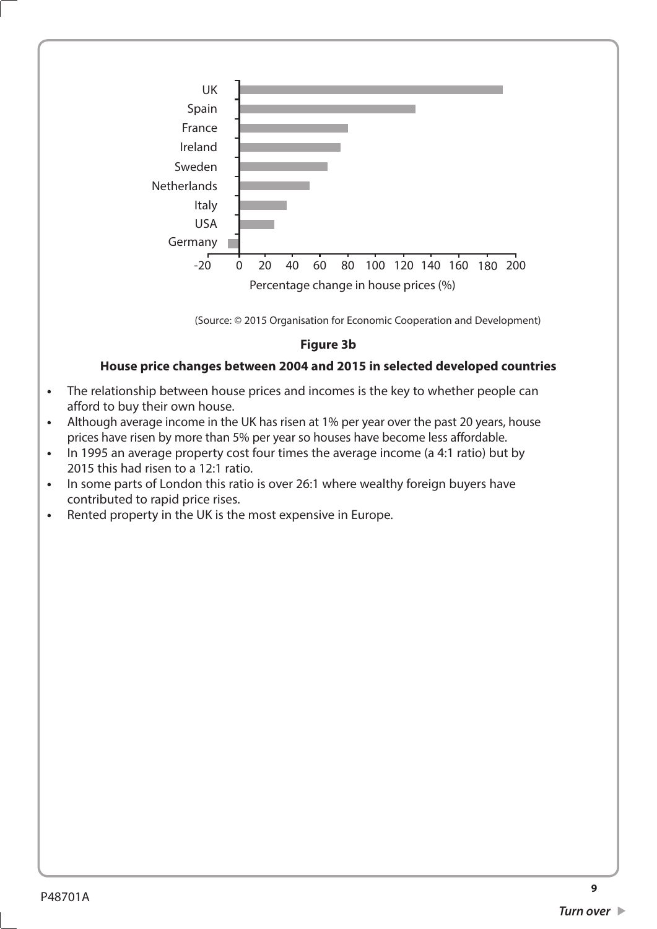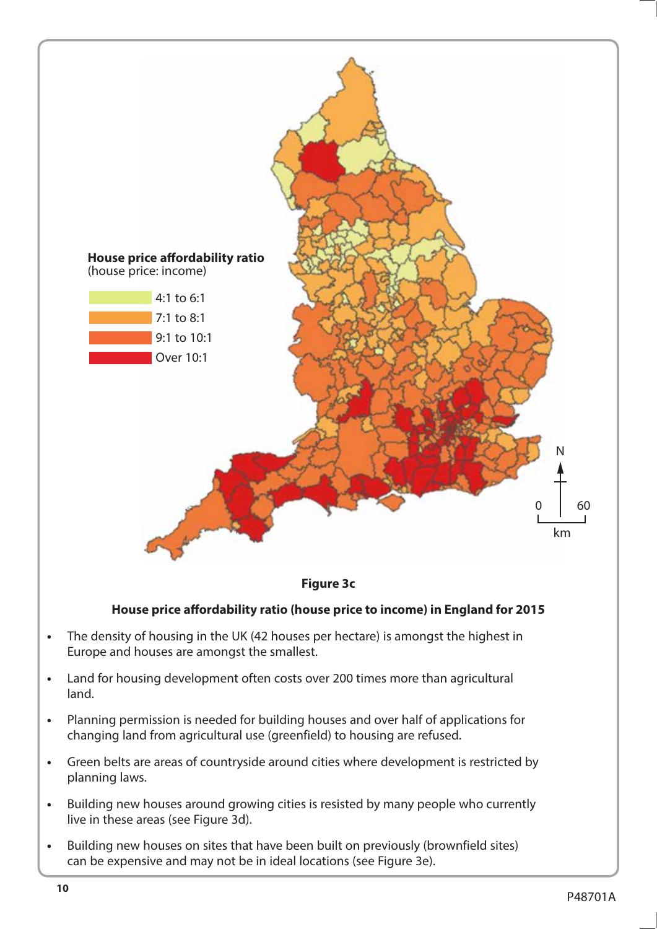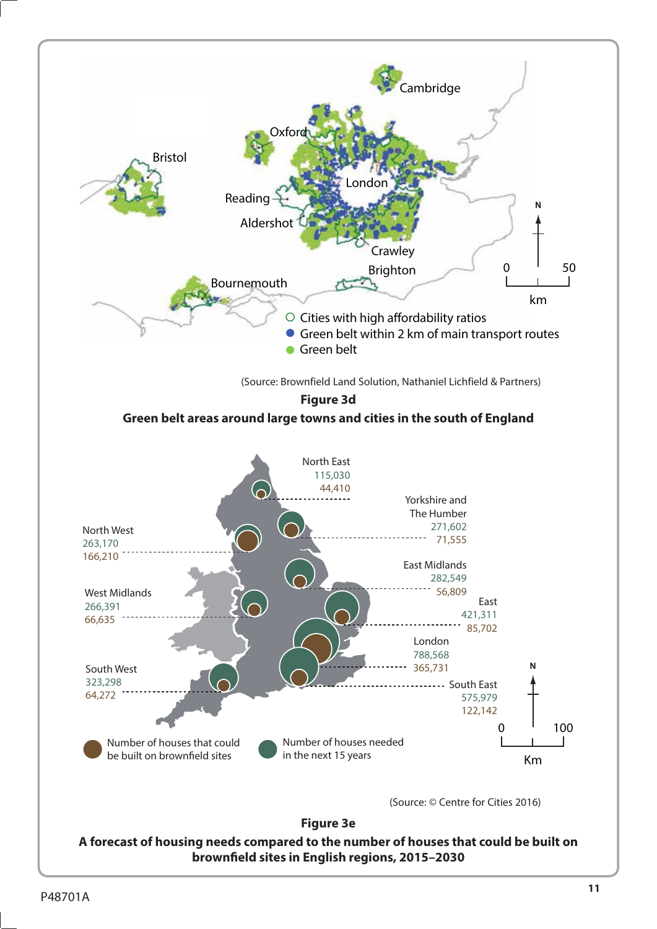